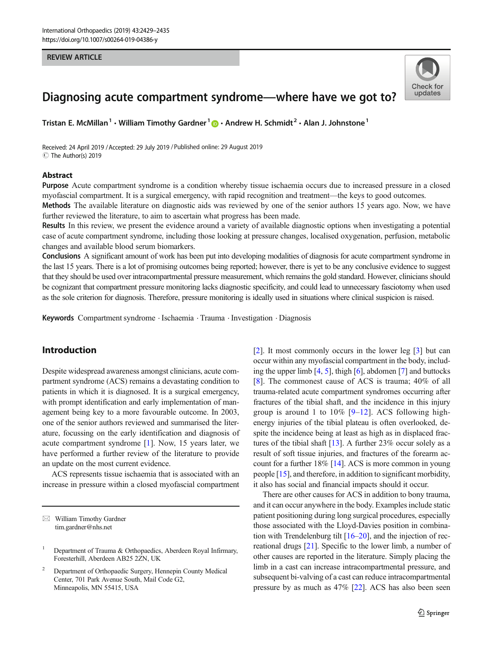## REVIEW ARTICLE



# Diagnosing acute compartment syndrome—where have we got to?

Tristan E. McMillan<sup>1</sup> • William Timothy Gardner  $1 \oplus \cdot$  Andrew H. Schmidt<sup>2</sup> • Alan J. Johnstone<sup>1</sup>

Received: 24 April 2019 /Accepted: 29 July 201 9 /Published online: 29 August 2019C The Author(s) 2019

# Abstract

Purpose Acute compartment syndrome is a condition whereby tissue ischaemia occurs due to increased pressure in a closed myofascial compartment. It is a surgical emergency, with rapid recognition and treatment—the keys to good outcomes.

Methods The available literature on diagnostic aids was reviewed by one of the senior authors 15 years ago. Now, we have further reviewed the literature, to aim to ascertain what progress has been made.

Results In this review, we present the evidence around a variety of available diagnostic options when investigating a potential case of acute compartment syndrome, including those looking at pressure changes, localised oxygenation, perfusion, metabolic changes and available blood serum biomarkers.

Conclusions A significant amount of work has been put into developing modalities of diagnosis for acute compartment syndrome in the last 15 years. There is a lot of promising outcomes being reported; however, there is yet to be any conclusive evidence to suggest that they should be used over intracompartmental pressure measurement, which remains the gold standard. However, clinicians should be cognizant that compartment pressure monitoring lacks diagnostic specificity, and could lead to unnecessary fasciotomy when used as the sole criterion for diagnosis. Therefore, pressure monitoring is ideally used in situations where clinical suspicion is raised.

Keywords Compartment syndrome . Ischaemia . Trauma . Investigation . Diagnosis

# Introduction

Despite widespread awareness amongst clinicians, acute compartment syndrome (ACS) remains a devastating condition to patients in which it is diagnosed. It is a surgical emergency, with prompt identification and early implementation of management being key to a more favourable outcome. In 2003, one of the senior authors reviewed and summarised the literature, focussing on the early identification and diagnosis of acute compartment syndrome [[1\]](#page-4-0). Now, 15 years later, we have performed a further review of the literature to provide an update on the most current evidence.

ACS represents tissue ischaemia that is associated with an increase in pressure within a closed myofascial compartment

 $\boxtimes$  William Timothy Gardner [tim.gardner@nhs.net](mailto:tim.gardner@nhs.net)

[\[2](#page-4-0)]. It most commonly occurs in the lower leg [[3](#page-4-0)] but can occur within any myofascial compartment in the body, including the upper limb [[4,](#page-4-0) [5](#page-4-0)], thigh [[6](#page-5-0)], abdomen [[7](#page-5-0)] and buttocks [\[8](#page-5-0)]. The commonest cause of ACS is trauma; 40% of all trauma-related acute compartment syndromes occurring after fractures of the tibial shaft, and the incidence in this injury group is around 1 to  $10\%$  [\[9](#page-5-0)–[12](#page-5-0)]. ACS following highenergy injuries of the tibial plateau is often overlooked, despite the incidence being at least as high as in displaced fractures of the tibial shaft [[13](#page-5-0)]. A further 23% occur solely as a result of soft tissue injuries, and fractures of the forearm account for a further 18% [[14](#page-5-0)]. ACS is more common in young people [\[15\]](#page-5-0), and therefore, in addition to significant morbidity, it also has social and financial impacts should it occur.

There are other causes for ACS in addition to bony trauma, and it can occur anywhere in the body. Examples include static patient positioning during long surgical procedures, especially those associated with the Lloyd-Davies position in combination with Trendelenburg tilt  $[16–20]$  $[16–20]$  $[16–20]$  $[16–20]$  $[16–20]$ , and the injection of recreational drugs [\[21](#page-5-0)]. Specific to the lower limb, a number of other causes are reported in the literature. Simply placing the limb in a cast can increase intracompartmental pressure, and subsequent bi-valving of a cast can reduce intracompartmental pressure by as much as 47% [\[22\]](#page-5-0). ACS has also been seen

<sup>&</sup>lt;sup>1</sup> Department of Trauma & Orthopaedics, Aberdeen Royal Infirmary, Foresterhill, Aberdeen AB25 2ZN, UK

<sup>2</sup> Department of Orthopaedic Surgery, Hennepin County Medical Center, 701 Park Avenue South, Mail Code G2, Minneapolis, MN 55415, USA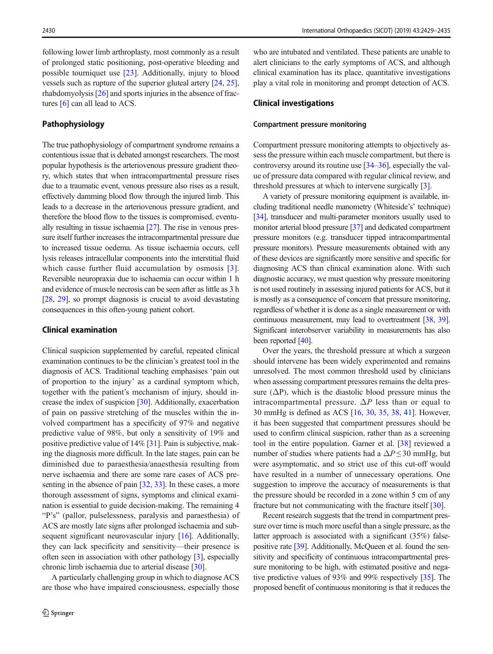following lower limb arthroplasty, most commonly as a result of prolonged static positioning, post-operative bleeding and possible tourniquet use [\[23](#page-5-0)]. Additionally, injury to blood vessels such as rupture of the superior gluteal artery [[24,](#page-5-0) [25\]](#page-5-0), rhabdomyolysis [\[26\]](#page-5-0) and sports injuries in the absence of fractures [\[6](#page-5-0)] can all lead to ACS.

# Pathophysiology

The true pathophysiology of compartment syndrome remains a contentious issue that is debated amongst researchers. The most popular hypothesis is the arteriovenous pressure gradient theory, which states that when intracompartmental pressure rises due to a traumatic event, venous pressure also rises as a result, effectively damming blood flow through the injured limb. This leads to a decrease in the arteriovenous pressure gradient, and therefore the blood flow to the tissues is compromised, eventually resulting in tissue ischaemia [\[27](#page-5-0)]. The rise in venous pressure itself further increases the intracompartmental pressure due to increased tissue oedema. As tissue ischaemia occurs, cell lysis releases intracellular components into the interstitial fluid which cause further fluid accumulation by osmosis [[3](#page-4-0)]. Reversible neuropraxia due to ischaemia can occur within 1 h and evidence of muscle necrosis can be seen after as little as 3 h [\[28,](#page-5-0) [29](#page-5-0)], so prompt diagnosis is crucial to avoid devastating consequences in this often-young patient cohort.

# Clinical examination

Clinical suspicion supplemented by careful, repeated clinical examination continues to be the clinician's greatest tool in the diagnosis of ACS. Traditional teaching emphasises 'pain out of proportion to the injury' as a cardinal symptom which, together with the patient's mechanism of injury, should increase the index of suspicion [[30\]](#page-5-0). Additionally, exacerbation of pain on passive stretching of the muscles within the involved compartment has a specificity of 97% and negative predictive value of 98%, but only a sensitivity of 19% and positive predictive value of 14% [\[31](#page-5-0)]. Pain is subjective, making the diagnosis more difficult. In the late stages, pain can be diminished due to paraesthesia/anaesthesia resulting from nerve ischaemia and there are some rare cases of ACS pre-senting in the absence of pain [[32,](#page-5-0) [33](#page-5-0)]. In these cases, a more thorough assessment of signs, symptoms and clinical examination is essential to guide decision-making. The remaining 4 "P's" (pallor, pulselessness, paralysis and paraesthesia) of ACS are mostly late signs after prolonged ischaemia and sub-sequent significant neurovascular injury [\[16](#page-5-0)]. Additionally, they can lack specificity and sensitivity—their presence is often seen in association with other pathology [\[3](#page-4-0)], especially chronic limb ischaemia due to arterial disease [\[30](#page-5-0)].

A particularly challenging group in which to diagnose ACS are those who have impaired consciousness, especially those who are intubated and ventilated. These patients are unable to alert clinicians to the early symptoms of ACS, and although clinical examination has its place, quantitative investigations play a vital role in monitoring and prompt detection of ACS.

## Clinical investigations

#### Compartment pressure monitoring

Compartment pressure monitoring attempts to objectively assess the pressure within each muscle compartment, but there is controversy around its routine use [\[34](#page-5-0)–[36\]](#page-5-0), especially the value of pressure data compared with regular clinical review, and threshold pressures at which to intervene surgically [\[3](#page-4-0)].

A variety of pressure monitoring equipment is available, including traditional needle manometry (Whiteside's' technique) [\[34\]](#page-5-0), transducer and multi-parameter monitors usually used to monitor arterial blood pressure [\[37](#page-5-0)] and dedicated compartment pressure monitors (e.g. transducer tipped intracompartmental pressure monitors). Pressure measurements obtained with any of these devices are significantly more sensitive and specific for diagnosing ACS than clinical examination alone. With such diagnostic accuracy, we must question why pressure monitoring is not used routinely in assessing injured patients for ACS, but it is mostly as a consequence of concern that pressure monitoring, regardless of whether it is done as a single measurement or with continuous measurement, may lead to overtreatment [\[38,](#page-5-0) [39\]](#page-5-0). Significant interobserver variability in measurements has also been reported [\[40\]](#page-5-0).

Over the years, the threshold pressure at which a surgeon should intervene has been widely experimented and remains unresolved. The most common threshold used by clinicians when assessing compartment pressures remains the delta pressure ( $\Delta P$ ), which is the diastolic blood pressure minus the intracompartmental pressure.  $\Delta P$  less than or equal to 30 mmHg is defined as ACS [\[16,](#page-5-0) [30](#page-5-0), [35](#page-5-0), [38,](#page-5-0) [41\]](#page-5-0). However, it has been suggested that compartment pressures should be used to confirm clinical suspicion, rather than as a screening tool in the entire population. Garner et al. [[38\]](#page-5-0) reviewed a number of studies where patients had a  $\Delta P \leq 30$  mmHg, but were asymptomatic, and so strict use of this cut-off would have resulted in a number of unnecessary operations. One suggestion to improve the accuracy of measurements is that the pressure should be recorded in a zone within 5 cm of any fracture but not communicating with the fracture itself [\[30\]](#page-5-0).

Recent research suggests that the trend in compartment pressure over time is much more useful than a single pressure, as the latter approach is associated with a significant (35%) falsepositive rate [\[39\]](#page-5-0). Additionally, McQueen et al. found the sensitivity and specificity of continuous intracompartmental pressure monitoring to be high, with estimated positive and negative predictive values of 93% and 99% respectively [\[35\]](#page-5-0). The proposed benefit of continuous monitoring is that it reduces the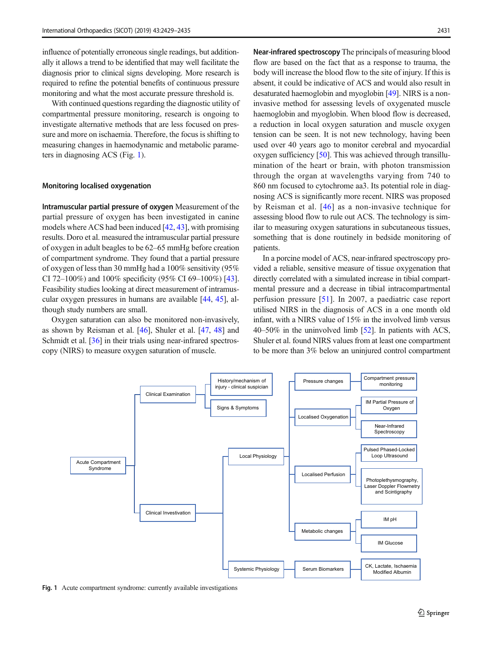influence of potentially erroneous single readings, but additionally it allows a trend to be identified that may well facilitate the diagnosis prior to clinical signs developing. More research is required to refine the potential benefits of continuous pressure monitoring and what the most accurate pressure threshold is.

With continued questions regarding the diagnostic utility of compartmental pressure monitoring, research is ongoing to investigate alternative methods that are less focused on pressure and more on ischaemia. Therefore, the focus is shifting to measuring changes in haemodynamic and metabolic parameters in diagnosing ACS (Fig. 1).

#### Monitoring localised oxygenation

Intramuscular partial pressure of oxygen Measurement of the partial pressure of oxygen has been investigated in canine models where ACS had been induced [\[42](#page-5-0), [43](#page-5-0)], with promising results. Doro et al. measured the intramuscular partial pressure of oxygen in adult beagles to be 62–65 mmHg before creation of compartment syndrome. They found that a partial pressure of oxygen of less than 30 mmHg had a 100% sensitivity (95% CI 72–100%) and 100% specificity (95% CI 69–100%) [[43\]](#page-5-0). Feasibility studies looking at direct measurement of intramuscular oxygen pressures in humans are available [\[44,](#page-5-0) [45](#page-6-0)], although study numbers are small.

Oxygen saturation can also be monitored non-invasively, as shown by Reisman et al. [[46\]](#page-6-0), Shuler et al. [[47,](#page-6-0) [48](#page-6-0)] and Schmidt et al. [[36](#page-5-0)] in their trials using near-infrared spectroscopy (NIRS) to measure oxygen saturation of muscle.

Near-infrared spectroscopy The principals of measuring blood flow are based on the fact that as a response to trauma, the body will increase the blood flow to the site of injury. If this is absent, it could be indicative of ACS and would also result in desaturated haemoglobin and myoglobin [\[49\]](#page-6-0). NIRS is a noninvasive method for assessing levels of oxygenated muscle haemoglobin and myoglobin. When blood flow is decreased, a reduction in local oxygen saturation and muscle oxygen tension can be seen. It is not new technology, having been used over 40 years ago to monitor cerebral and myocardial oxygen sufficiency [\[50](#page-6-0)]. This was achieved through transillumination of the heart or brain, with photon transmission through the organ at wavelengths varying from 740 to 860 nm focused to cytochrome aa3. Its potential role in diagnosing ACS is significantly more recent. NIRS was proposed by Reisman et al. [[46\]](#page-6-0) as a non-invasive technique for assessing blood flow to rule out ACS. The technology is similar to measuring oxygen saturations in subcutaneous tissues, something that is done routinely in bedside monitoring of patients.

In a porcine model of ACS, near-infrared spectroscopy provided a reliable, sensitive measure of tissue oxygenation that directly correlated with a simulated increase in tibial compartmental pressure and a decrease in tibial intracompartmental perfusion pressure [[51\]](#page-6-0). In 2007, a paediatric case report utilised NIRS in the diagnosis of ACS in a one month old infant, with a NIRS value of 15% in the involved limb versus 40–50% in the uninvolved limb [\[52\]](#page-6-0). In patients with ACS, Shuler et al. found NIRS values from at least one compartment to be more than 3% below an uninjured control compartment



Fig. 1 Acute compartment syndrome: currently available investigations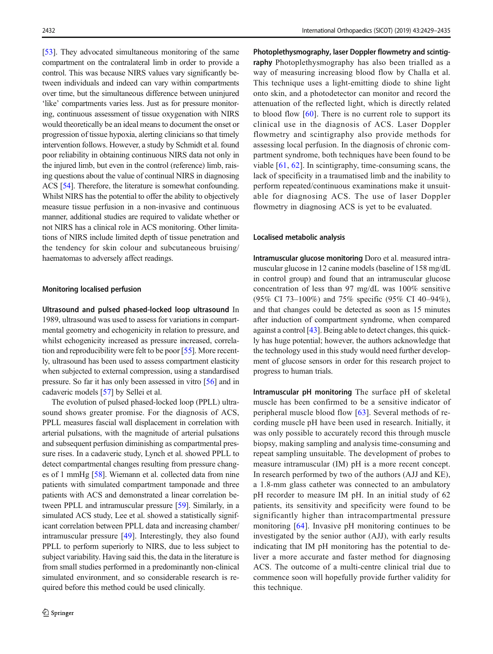[\[53\]](#page-6-0). They advocated simultaneous monitoring of the same compartment on the contralateral limb in order to provide a control. This was because NIRS values vary significantly between individuals and indeed can vary within compartments over time, but the simultaneous difference between uninjured 'like' compartments varies less. Just as for pressure monitoring, continuous assessment of tissue oxygenation with NIRS would theoretically be an ideal means to document the onset or progression of tissue hypoxia, alerting clinicians so that timely intervention follows. However, a study by Schmidt et al. found poor reliability in obtaining continuous NIRS data not only in the injured limb, but even in the control (reference) limb, raising questions about the value of continual NIRS in diagnosing ACS [[54](#page-6-0)]. Therefore, the literature is somewhat confounding. Whilst NIRS has the potential to offer the ability to objectively measure tissue perfusion in a non-invasive and continuous manner, additional studies are required to validate whether or not NIRS has a clinical role in ACS monitoring. Other limitations of NIRS include limited depth of tissue penetration and the tendency for skin colour and subcutaneous bruising/ haematomas to adversely affect readings.

# Monitoring localised perfusion

Ultrasound and pulsed phased-locked loop ultrasound In 1989, ultrasound was used to assess for variations in compartmental geometry and echogenicity in relation to pressure, and whilst echogenicity increased as pressure increased, correlation and reproducibility were felt to be poor [\[55\]](#page-6-0). More recently, ultrasound has been used to assess compartment elasticity when subjected to external compression, using a standardised pressure. So far it has only been assessed in vitro [\[56\]](#page-6-0) and in cadaveric models [\[57](#page-6-0)] by Sellei et al.

The evolution of pulsed phased-locked loop (PPLL) ultrasound shows greater promise. For the diagnosis of ACS, PPLL measures fascial wall displacement in correlation with arterial pulsations, with the magnitude of arterial pulsations and subsequent perfusion diminishing as compartmental pressure rises. In a cadaveric study, Lynch et al. showed PPLL to detect compartmental changes resulting from pressure changes of 1 mmHg [[58\]](#page-6-0). Wiemann et al. collected data from nine patients with simulated compartment tamponade and three patients with ACS and demonstrated a linear correlation between PPLL and intramuscular pressure [\[59\]](#page-6-0). Similarly, in a simulated ACS study, Lee et al. showed a statistically significant correlation between PPLL data and increasing chamber/ intramuscular pressure [\[49\]](#page-6-0). Interestingly, they also found PPLL to perform superiorly to NIRS, due to less subject to subject variability. Having said this, the data in the literature is from small studies performed in a predominantly non-clinical simulated environment, and so considerable research is required before this method could be used clinically.

Photoplethysmography, laser Doppler flowmetry and scintigraphy Photoplethysmography has also been trialled as a way of measuring increasing blood flow by Challa et al. This technique uses a light-emitting diode to shine light onto skin, and a photodetector can monitor and record the attenuation of the reflected light, which is directly related to blood flow [[60](#page-6-0)]. There is no current role to support its clinical use in the diagnosis of ACS. Laser Doppler flowmetry and scintigraphy also provide methods for assessing local perfusion. In the diagnosis of chronic compartment syndrome, both techniques have been found to be viable [[61,](#page-6-0) [62](#page-6-0)]. In scintigraphy, time-consuming scans, the lack of specificity in a traumatised limb and the inability to perform repeated/continuous examinations make it unsuitable for diagnosing ACS. The use of laser Doppler flowmetry in diagnosing ACS is yet to be evaluated.

#### Localised metabolic analysis

Intramuscular glucose monitoring Doro et al. measured intramuscular glucose in 12 canine models (baseline of 158 mg/dL in control group) and found that an intramuscular glucose concentration of less than 97 mg/dL was 100% sensitive (95% CI 73–100%) and 75% specific (95% CI 40–94%), and that changes could be detected as soon as 15 minutes after induction of compartment syndrome, when compared against a control [[43\]](#page-5-0). Being able to detect changes, this quickly has huge potential; however, the authors acknowledge that the technology used in this study would need further development of glucose sensors in order for this research project to progress to human trials.

Intramuscular pH monitoring The surface pH of skeletal muscle has been confirmed to be a sensitive indicator of peripheral muscle blood flow [\[63\]](#page-6-0). Several methods of recording muscle pH have been used in research. Initially, it was only possible to accurately record this through muscle biopsy, making sampling and analysis time-consuming and repeat sampling unsuitable. The development of probes to measure intramuscular (IM) pH is a more recent concept. In research performed by two of the authors (AJJ and KE), a 1.8-mm glass catheter was connected to an ambulatory pH recorder to measure IM pH. In an initial study of 62 patients, its sensitivity and specificity were found to be significantly higher than intracompartmental pressure monitoring [\[64](#page-6-0)]. Invasive pH monitoring continues to be investigated by the senior author (AJJ), with early results indicating that IM pH monitoring has the potential to deliver a more accurate and faster method for diagnosing ACS. The outcome of a multi-centre clinical trial due to commence soon will hopefully provide further validity for this technique.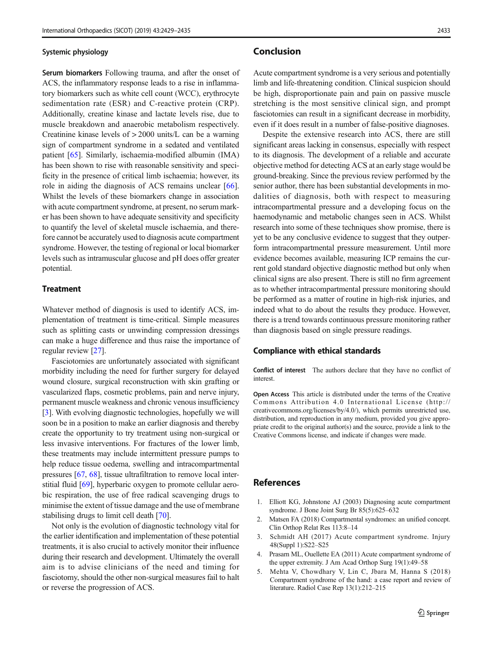#### <span id="page-4-0"></span>Systemic physiology

Serum biomarkers Following trauma, and after the onset of ACS, the inflammatory response leads to a rise in inflammatory biomarkers such as white cell count (WCC), erythrocyte sedimentation rate (ESR) and C-reactive protein (CRP). Additionally, creatine kinase and lactate levels rise, due to muscle breakdown and anaerobic metabolism respectively. Creatinine kinase levels of > 2000 units/L can be a warning sign of compartment syndrome in a sedated and ventilated patient [[65\]](#page-6-0). Similarly, ischaemia-modified albumin (IMA) has been shown to rise with reasonable sensitivity and specificity in the presence of critical limb ischaemia; however, its role in aiding the diagnosis of ACS remains unclear [\[66](#page-6-0)]. Whilst the levels of these biomarkers change in association with acute compartment syndrome, at present, no serum marker has been shown to have adequate sensitivity and specificity to quantify the level of skeletal muscle ischaemia, and therefore cannot be accurately used to diagnosis acute compartment syndrome. However, the testing of regional or local biomarker levels such as intramuscular glucose and pH does offer greater potential.

# **Treatment**

Whatever method of diagnosis is used to identify ACS, implementation of treatment is time-critical. Simple measures such as splitting casts or unwinding compression dressings can make a huge difference and thus raise the importance of regular review [\[27\]](#page-5-0).

Fasciotomies are unfortunately associated with significant morbidity including the need for further surgery for delayed wound closure, surgical reconstruction with skin grafting or vascularized flaps, cosmetic problems, pain and nerve injury, permanent muscle weakness and chronic venous insufficiency [3]. With evolving diagnostic technologies, hopefully we will soon be in a position to make an earlier diagnosis and thereby create the opportunity to try treatment using non-surgical or less invasive interventions. For fractures of the lower limb, these treatments may include intermittent pressure pumps to help reduce tissue oedema, swelling and intracompartmental pressures [[67,](#page-6-0) [68\]](#page-6-0), tissue ultrafiltration to remove local interstitial fluid [[69\]](#page-6-0), hyperbaric oxygen to promote cellular aerobic respiration, the use of free radical scavenging drugs to minimise the extent of tissue damage and the use of membrane stabilising drugs to limit cell death [\[70](#page-6-0)].

Not only is the evolution of diagnostic technology vital for the earlier identification and implementation of these potential treatments, it is also crucial to actively monitor their influence during their research and development. Ultimately the overall aim is to advise clinicians of the need and timing for fasciotomy, should the other non-surgical measures fail to halt or reverse the progression of ACS.

# Conclusion

Acute compartment syndrome is a very serious and potentially limb and life-threatening condition. Clinical suspicion should be high, disproportionate pain and pain on passive muscle stretching is the most sensitive clinical sign, and prompt fasciotomies can result in a significant decrease in morbidity, even if it does result in a number of false-positive diagnoses.

Despite the extensive research into ACS, there are still significant areas lacking in consensus, especially with respect to its diagnosis. The development of a reliable and accurate objective method for detecting ACS at an early stage would be ground-breaking. Since the previous review performed by the senior author, there has been substantial developments in modalities of diagnosis, both with respect to measuring intracompartmental pressure and a developing focus on the haemodynamic and metabolic changes seen in ACS. Whilst research into some of these techniques show promise, there is yet to be any conclusive evidence to suggest that they outperform intracompartmental pressure measurement. Until more evidence becomes available, measuring ICP remains the current gold standard objective diagnostic method but only when clinical signs are also present. There is still no firm agreement as to whether intracompartmental pressure monitoring should be performed as a matter of routine in high-risk injuries, and indeed what to do about the results they produce. However, there is a trend towards continuous pressure monitoring rather than diagnosis based on single pressure readings.

#### Compliance with ethical standards

Conflict of interest The authors declare that they have no conflict of interest.

Open Access This article is distributed under the terms of the Creative Commons Attribution 4.0 International License (http:// creativecommons.org/licenses/by/4.0/), which permits unrestricted use, distribution, and reproduction in any medium, provided you give appropriate credit to the original author(s) and the source, provide a link to the Creative Commons license, and indicate if changes were made.

# References

- 1. Elliott KG, Johnstone AJ (2003) Diagnosing acute compartment syndrome. J Bone Joint Surg Br 85(5):625–632
- 2. Matsen FA (2018) Compartmental syndromes: an unified concept. Clin Orthop Relat Res 113:8–14
- 3. Schmidt AH (2017) Acute compartment syndrome. Injury 48(Suppl 1):S22–S25
- 4. Prasarn ML, Ouellette EA (2011) Acute compartment syndrome of the upper extremity. J Am Acad Orthop Surg 19(1):49–58
- 5. Mehta V, Chowdhary V, Lin C, Jbara M, Hanna S (2018) Compartment syndrome of the hand: a case report and review of literature. Radiol Case Rep 13(1):212–215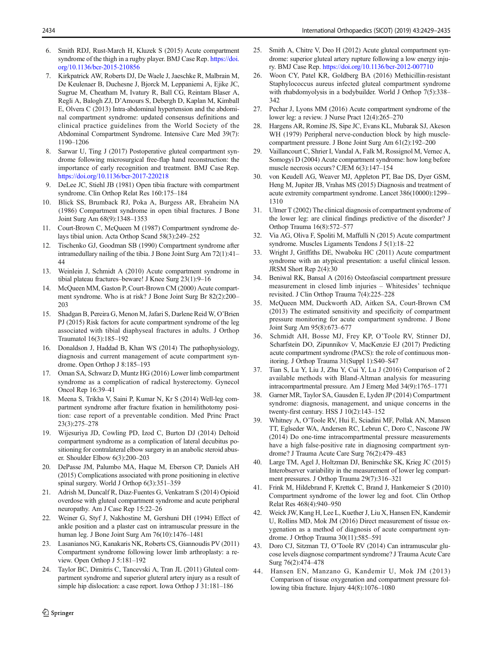- <span id="page-5-0"></span>6. Smith RDJ, Rust-March H, Kluzek S (2015) Acute compartment syndrome of the thigh in a rugby player. BMJ Case Rep. [https://doi.](https://doi.org/10.1136/bcr-2015-210856) [org/10.1136/bcr-2015-210856](https://doi.org/10.1136/bcr-2015-210856)
- 7. Kirkpatrick AW, Roberts DJ, De Waele J, Jaeschke R, Malbrain M, De Keulenaer B, Duchesne J, Bjorck M, Leppaniemi A, Ejike JC, Sugrue M, Cheatham M, Ivatury R, Ball CG, Reintam Blaser A, Regli A, Balogh ZJ, D'Amours S, Debergh D, Kaplan M, Kimball E, Olvera C (2013) Intra-abdominal hypertension and the abdominal compartment syndrome: updated consensus definitions and clinical practice guidelines from the World Society of the Abdominal Compartment Syndrome. Intensive Care Med 39(7): 1190–1206
- 8. Sarwar U, Ting J (2017) Postoperative gluteal compartment syndrome following microsurgical free-flap hand reconstruction: the importance of early recognition and treatment. BMJ Case Rep. <https://doi.org/10.1136/bcr-2017-220218>
- DeLee JC, Stiehl JB (1981) Open tibia fracture with compartment syndrome. Clin Orthop Relat Res 160:175–184
- 10. Blick SS, Brumback RJ, Poka A, Burgess AR, Ebraheim NA (1986) Compartment syndrome in open tibial fractures. J Bone Joint Surg Am 68(9):1348–1353
- 11. Court-Brown C, McQueen M (1987) Compartment syndrome delays tibial union. Acta Orthop Scand 58(3):249–252
- 12. Tischenko GJ, Goodman SB (1990) Compartment syndrome after intramedullary nailing of the tibia. J Bone Joint Surg Am 72(1):41– 44
- 13. Weinlein J, Schmidt A (2010) Acute compartment syndrome in tibial plateau fractures–beware! J Knee Surg 23(1):9–16
- 14. McQueen MM, Gaston P, Court-Brown CM (2000) Acute compartment syndrome. Who is at risk? J Bone Joint Surg Br 82(2):200– 203
- 15. Shadgan B, Pereira G, Menon M, Jafari S, Darlene Reid W, O'Brien PJ (2015) Risk factors for acute compartment syndrome of the leg associated with tibial diaphyseal fractures in adults. J Orthop Traumatol 16(3):185–192
- 16. Donaldson J, Haddad B, Khan WS (2014) The pathophysiology, diagnosis and current management of acute compartment syndrome. Open Orthop J 8:185–193
- 17. Oman SA, Schwarz D, Muntz HG (2016) Lower limb compartment syndrome as a complication of radical hysterectomy. Gynecol Oncol Rep 16:39–41
- 18. Meena S, Trikha V, Saini P, Kumar N, Kr S (2014) Well-leg compartment syndrome after fracture fixation in hemilithotomy position: case report of a preventable condition. Med Princ Pract 23(3):275–278
- 19. Wijesuriya JD, Cowling PD, Izod C, Burton DJ (2014) Deltoid compartment syndrome as a complication of lateral decubitus positioning for contralateral elbow surgery in an anabolic steroid abuser. Shoulder Elbow 6(3):200–203
- 20. DePasse JM, Palumbo MA, Haque M, Eberson CP, Daniels AH (2015) Complications associated with prone positioning in elective spinal surgery. World J Orthop 6(3):351–359
- 21. Adrish M, Duncalf R, Diaz-Fuentes G, Venkatram S (2014) Opioid overdose with gluteal compartment syndrome and acute peripheral neuropathy. Am J Case Rep 15:22–26
- 22. Weiner G, Styf J, Nakhostine M, Gershuni DH (1994) Effect of ankle position and a plaster cast on intramuscular pressure in the human leg. J Bone Joint Surg Am 76(10):1476–1481
- 23. Lasanianos NG, Kanakaris NK, Roberts CS, Giannoudis PV (2011) Compartment syndrome following lower limb arthroplasty: a review. Open Orthop J 5:181–192
- 24. Taylor BC, Dimitris C, Tancevski A, Tran JL (2011) Gluteal compartment syndrome and superior gluteral artery injury as a result of simple hip dislocation: a case report. Iowa Orthop J 31:181–186
- 25. Smith A, Chitre V, Deo H (2012) Acute gluteal compartment syndrome: superior gluteal artery rupture following a low energy injury. BMJ Case Rep. <https://doi.org/10.1136/bcr-2012-007710>
- 26. Woon CY, Patel KR, Goldberg BA (2016) Methicillin-resistant Staphylococcus aureus infected gluteal compartment syndrome with rhabdomyolysis in a bodybuilder. World J Orthop 7(5):338– 342
- 27. Pechar J, Lyons MM (2016) Acute compartment syndrome of the lower leg: a review. J Nurse Pract 12(4):265–270
- 28. Hargens AR, Romine JS, Sipe JC, Evans KL, Mubarak SJ, Akeson WH (1979) Peripheral nerve-conduction block by high musclecompartment pressure. J Bone Joint Surg Am 61(2):192–200
- 29. Vaillancourt C, Shrier I, Vandal A, Falk M, Rossignol M, Vernec A, Somogyi D (2004) Acute compartment syndrome: how long before muscle necrosis occurs? CJEM 6(3):147–154
- 30. von Keudell AG, Weaver MJ, Appleton PT, Bae DS, Dyer GSM, Heng M, Jupiter JB, Vrahas MS (2015) Diagnosis and treatment of acute extremity compartment syndrome. Lancet 386(10000):1299– 1310
- 31. Ulmer T (2002) The clinical diagnosis of compartment syndrome of the lower leg: are clinical findings predictive of the disorder? J Orthop Trauma 16(8):572–577
- 32. Via AG, Oliva F, Spoliti M, Maffulli N (2015) Acute compartment syndrome. Muscles Ligaments Tendons J 5(1):18–22
- 33. Wright J, Griffiths DE, Nwaboku HC (2011) Acute compartment syndrome with an atypical presentation: a useful clinical lesson. JRSM Short Rep 2(4):30
- 34. Beniwal RK, Bansal A (2016) Osteofascial compartment pressure measurement in closed limb injuries – Whitesides' technique revisited. J Clin Orthop Trauma 7(4):225–228
- 35. McQueen MM, Duckworth AD, Aitken SA, Court-Brown CM (2013) The estimated sensitivity and specificity of compartment pressure monitoring for acute compartment syndrome. J Bone Joint Surg Am 95(8):673–677
- 36. Schmidt AH, Bosse MJ, Frey KP, O'Toole RV, Stinner DJ, Scharfstein DO, Zipunnikov V, MacKenzie EJ (2017) Predicting acute compartment syndrome (PACS): the role of continuous monitoring. J Orthop Trauma 31(Suppl 1):S40–S47
- 37. Tian S, Lu Y, Liu J, Zhu Y, Cui Y, Lu J (2016) Comparison of 2 available methods with Bland-Altman analysis for measuring intracompartmental pressure. Am J Emerg Med 34(9):1765–1771
- 38. Garner MR, Taylor SA, Gausden E, Lyden JP (2014) Compartment syndrome: diagnosis, management, and unique concerns in the twenty-first century. HSS J 10(2):143–152
- 39. Whitney A, O'Toole RV, Hui E, Sciadini MF, Pollak AN, Manson TT, Eglseder WA, Andersen RC, Lebrun C, Doro C, Nascone JW (2014) Do one-time intracompartmental pressure measurements have a high false-positive rate in diagnosing compartment syndrome? J Trauma Acute Care Surg 76(2):479–483
- 40. Large TM, Agel J, Holtzman DJ, Benirschke SK, Krieg JC (2015) Interobserver variability in the measurement of lower leg compartment pressures. J Orthop Trauma 29(7):316–321
- 41. Frink M, Hildebrand F, Krettek C, Brand J, Hankemeier S (2010) Compartment syndrome of the lower leg and foot. Clin Orthop Relat Res 468(4):940–950
- 42. Weick JW, Kang H, Lee L, Kuether J, Liu X, Hansen EN, Kandemir U, Rollins MD, Mok JM (2016) Direct measurement of tissue oxygenation as a method of diagnosis of acute compartment syndrome. J Orthop Trauma 30(11):585–591
- 43. Doro CJ, Sitzman TJ, O'Toole RV (2014) Can intramuscular glucose levels diagnose compartment syndrome? J Trauma Acute Care Surg 76(2):474–478
- 44. Hansen EN, Manzano G, Kandemir U, Mok JM (2013) Comparison of tissue oxygenation and compartment pressure following tibia fracture. Injury 44(8):1076–1080